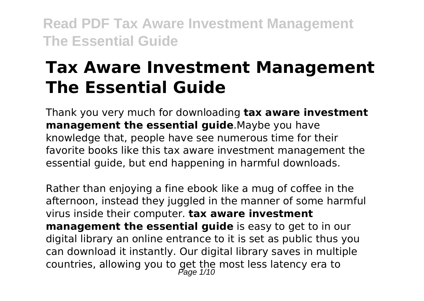# **Tax Aware Investment Management The Essential Guide**

Thank you very much for downloading **tax aware investment management the essential guide**.Maybe you have knowledge that, people have see numerous time for their favorite books like this tax aware investment management the essential guide, but end happening in harmful downloads.

Rather than enjoying a fine ebook like a mug of coffee in the afternoon, instead they juggled in the manner of some harmful virus inside their computer. **tax aware investment management the essential quide** is easy to get to in our digital library an online entrance to it is set as public thus you can download it instantly. Our digital library saves in multiple countries, allowing you to get the most less latency era to<br> $P_{\text{age 1/10}}$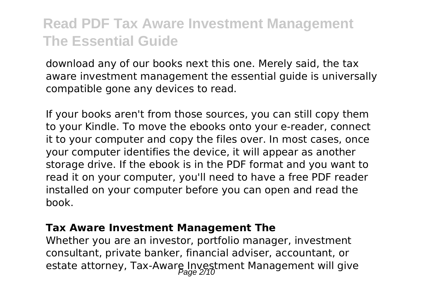download any of our books next this one. Merely said, the tax aware investment management the essential guide is universally compatible gone any devices to read.

If your books aren't from those sources, you can still copy them to your Kindle. To move the ebooks onto your e-reader, connect it to your computer and copy the files over. In most cases, once your computer identifies the device, it will appear as another storage drive. If the ebook is in the PDF format and you want to read it on your computer, you'll need to have a free PDF reader installed on your computer before you can open and read the book.

#### **Tax Aware Investment Management The**

Whether you are an investor, portfolio manager, investment consultant, private banker, financial adviser, accountant, or estate attorney, Tax-Aware Investment Management will give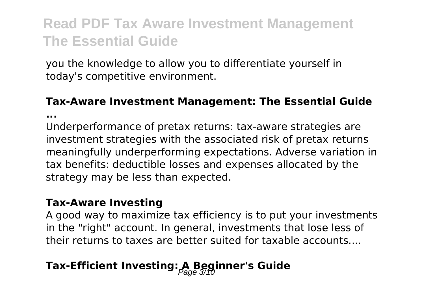you the knowledge to allow you to differentiate yourself in today's competitive environment.

#### **Tax-Aware Investment Management: The Essential Guide**

**...**

Underperformance of pretax returns: tax-aware strategies are investment strategies with the associated risk of pretax returns meaningfully underperforming expectations. Adverse variation in tax benefits: deductible losses and expenses allocated by the strategy may be less than expected.

#### **Tax-Aware Investing**

A good way to maximize tax efficiency is to put your investments in the "right" account. In general, investments that lose less of their returns to taxes are better suited for taxable accounts....

### **Tax-Efficient Investing: A Beginner's Guide**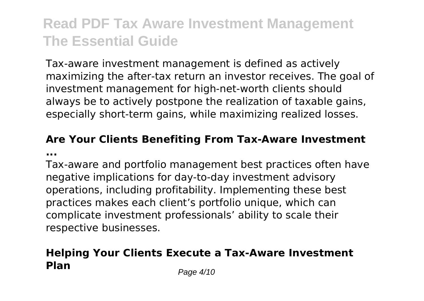Tax-aware investment management is defined as actively maximizing the after-tax return an investor receives. The goal of investment management for high-net-worth clients should always be to actively postpone the realization of taxable gains, especially short-term gains, while maximizing realized losses.

### **Are Your Clients Benefiting From Tax-Aware Investment ...**

Tax-aware and portfolio management best practices often have negative implications for day-to-day investment advisory operations, including profitability. Implementing these best practices makes each client's portfolio unique, which can complicate investment professionals' ability to scale their respective businesses.

### **Helping Your Clients Execute a Tax-Aware Investment Plan** Page 4/10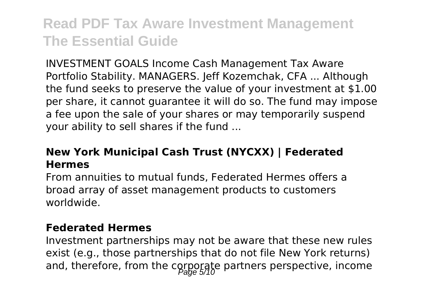INVESTMENT GOALS Income Cash Management Tax Aware Portfolio Stability. MANAGERS. Jeff Kozemchak, CFA ... Although the fund seeks to preserve the value of your investment at \$1.00 per share, it cannot guarantee it will do so. The fund may impose a fee upon the sale of your shares or may temporarily suspend your ability to sell shares if the fund ...

### **New York Municipal Cash Trust (NYCXX) | Federated Hermes**

From annuities to mutual funds, Federated Hermes offers a broad array of asset management products to customers worldwide.

#### **Federated Hermes**

Investment partnerships may not be aware that these new rules exist (e.g., those partnerships that do not file New York returns) and, therefore, from the corporate partners perspective, income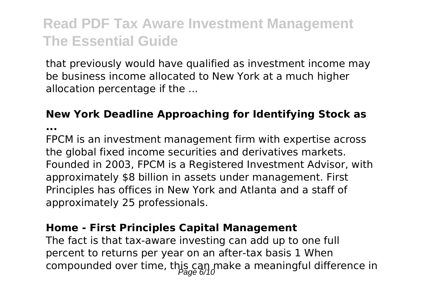that previously would have qualified as investment income may be business income allocated to New York at a much higher allocation percentage if the ...

### **New York Deadline Approaching for Identifying Stock as**

**...**

FPCM is an investment management firm with expertise across the global fixed income securities and derivatives markets. Founded in 2003, FPCM is a Registered Investment Advisor, with approximately \$8 billion in assets under management. First Principles has offices in New York and Atlanta and a staff of approximately 25 professionals.

#### **Home - First Principles Capital Management**

The fact is that tax-aware investing can add up to one full percent to returns per year on an after-tax basis 1 When compounded over time, this can make a meaningful difference in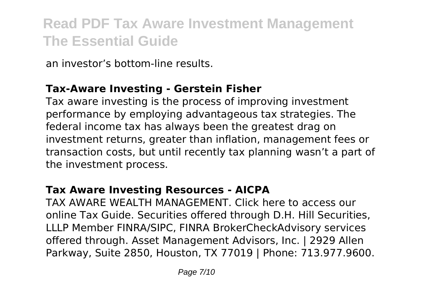an investor's bottom-line results.

### **Tax-Aware Investing - Gerstein Fisher**

Tax aware investing is the process of improving investment performance by employing advantageous tax strategies. The federal income tax has always been the greatest drag on investment returns, greater than inflation, management fees or transaction costs, but until recently tax planning wasn't a part of the investment process.

### **Tax Aware Investing Resources - AICPA**

TAX AWARE WEALTH MANAGEMENT. Click here to access our online Tax Guide. Securities offered through D.H. Hill Securities, LLLP Member FINRA/SIPC, FINRA BrokerCheckAdvisory services offered through. Asset Management Advisors, Inc. | 2929 Allen Parkway, Suite 2850, Houston, TX 77019 | Phone: 713.977.9600.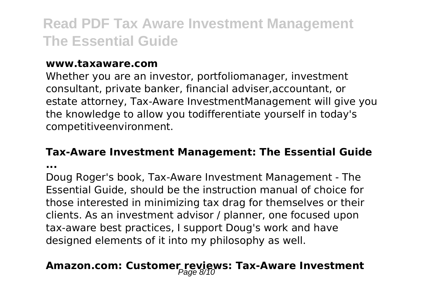#### **www.taxaware.com**

Whether you are an investor, portfoliomanager, investment consultant, private banker, financial adviser,accountant, or estate attorney, Tax-Aware InvestmentManagement will give you the knowledge to allow you todifferentiate yourself in today's competitiveenvironment.

#### **Tax-Aware Investment Management: The Essential Guide**

**...**

Doug Roger's book, Tax-Aware Investment Management - The Essential Guide, should be the instruction manual of choice for those interested in minimizing tax drag for themselves or their clients. As an investment advisor / planner, one focused upon tax-aware best practices, I support Doug's work and have designed elements of it into my philosophy as well.

## Amazon.com: Customer reviews: Tax-Aware Investment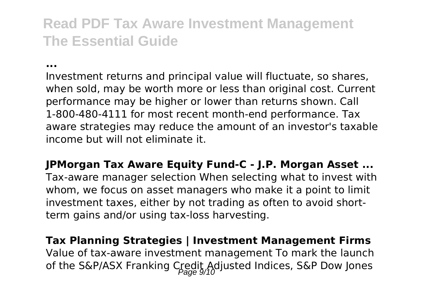**...**

Investment returns and principal value will fluctuate, so shares, when sold, may be worth more or less than original cost. Current performance may be higher or lower than returns shown. Call 1-800-480-4111 for most recent month-end performance. Tax aware strategies may reduce the amount of an investor's taxable income but will not eliminate it.

**JPMorgan Tax Aware Equity Fund-C - J.P. Morgan Asset ...** Tax-aware manager selection When selecting what to invest with whom, we focus on asset managers who make it a point to limit investment taxes, either by not trading as often to avoid shortterm gains and/or using tax-loss harvesting.

**Tax Planning Strategies | Investment Management Firms** Value of tax-aware investment management To mark the launch of the S&P/ASX Franking Credit Adjusted Indices, S&P Dow Jones